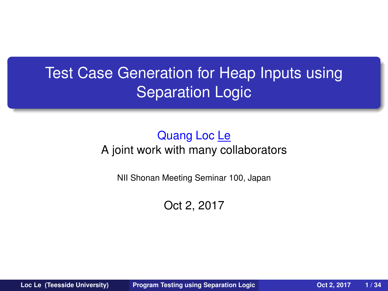# Test Case Generation for Heap Inputs using Separation Logic

#### Quang Loc Le A joint work with many collaborators

NII Shonan Meeting Seminar 100, Japan

<span id="page-0-0"></span>Oct 2, 2017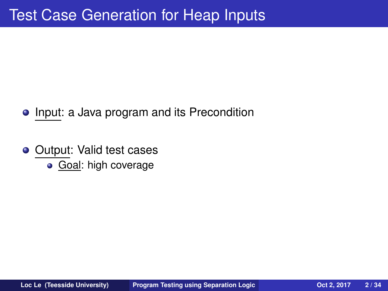# **Test Case Generation for Heap Inputs**

- Input: a Java program and its Precondition
- <span id="page-1-0"></span>Output: Valid test cases  $\bullet$ 
	- Goal: high coverage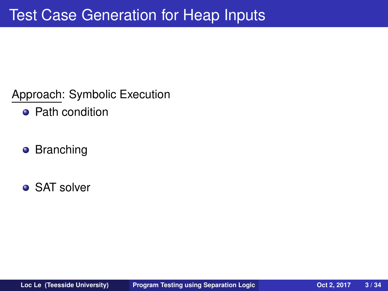Approach: Symbolic Execution

- Path condition
- **•** Branching
- **SAT solver**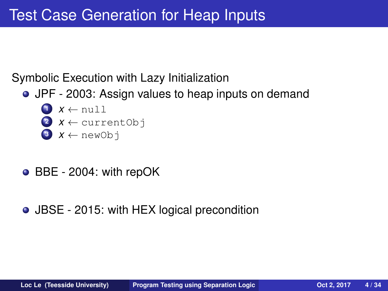#### Symbolic Execution with Lazy Initialization

- JPF 2003: Assign values to heap inputs on demand
	- $\mathbf{1}$   $\mathbf{x} \leftarrow \text{null}$
	- 2  $x \leftarrow$  current Obj
	- $X \leftarrow newObj$
- BBE 2004: with repOK
- JBSE 2015: with HEX logical precondition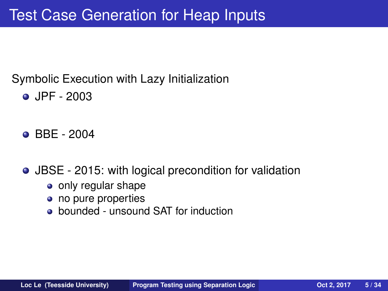#### Symbolic Execution with Lazy Initialization

- **JPF 2003**
- **BBE 2004**
- JBSE 2015: with logical precondition for validation
	- only regular shape
	- no pure properties
	- bounded unsound SAT for induction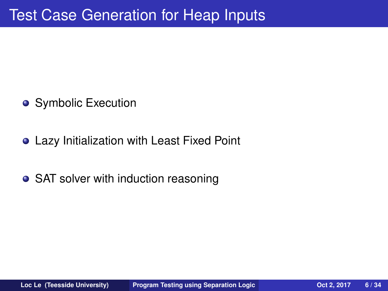- Symbolic Execution
- Lazy Initialization with Least Fixed Point
- SAT solver with induction reasoning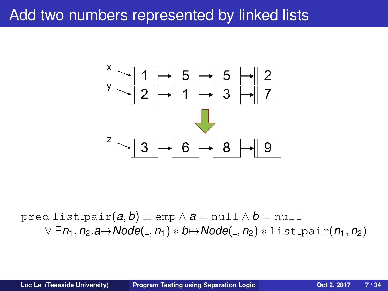#### Add two numbers represented by linked lists



pred list pair $(a, b) \equiv$ emp  $\wedge$  *a* = null  $\wedge$  *b* = null ∨ ∃*n*1, *n*2.*a*7→*Node*( , *n*1) ∗ *b*7→*Node*( , *n*2) ∗ list pair(*n*1, *n*2)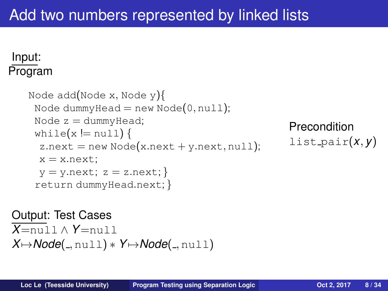#### Input: Program

```
Node add(Node x, Node y){
 Node dummyHead = new Node(0, \text{null});
 Node z = dummy Head;
 while(x == null) {
 z.next = new Node(x.next + y.next, null);x = x.next;
 y = y.next; z = z.next;return dummyHead.next; }
```

```
Precondition
list pair(x, y)
```

```
Output: Test Cases
X=null ∧ Y=null
X \mapsto Node(\_,null) * Y \mapsto Node(\_,null))
```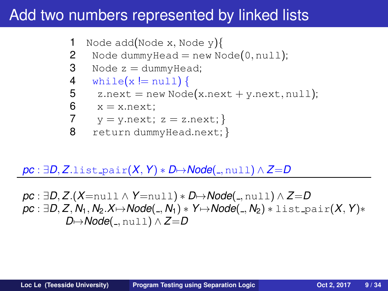#### Add two numbers represented by linked lists

```
1 Node add(Node x, Node y)\{
```
- 2 Node dummy  $Head = new Node(0, null);$
- 3 Node  $z =$  dummy Head;
- 4 while $(x != null)$  {
- 5  $z.next = new Node(x.next + y.next, null);$
- 6  $x = x.next;$ <br>7  $y = y.next;$

$$
7 \t y = y.next; z = z.next; \}
$$

8 return dummyHead.next; }

 $pc: \exists D, Z.$ list\_pair $(X, Y) * D \rightarrow \text{Node}(\_,null) \land Z = D$ 

*pc* : ∃*D*, *Z*.(*X*=null ∧ *Y*=null) ∗ *D*7→*Node*( , null) ∧ *Z*=*D pc* : ∃*D*, *Z*, *N*1, *N*2.*X*7→*Node*( , *N*1) ∗ *Y*7→*Node*( , *N*2) ∗ list pair(*X*, *Y*)∗ *D* $\mapsto$ *Node*( , null) ∧ *Z*=*D*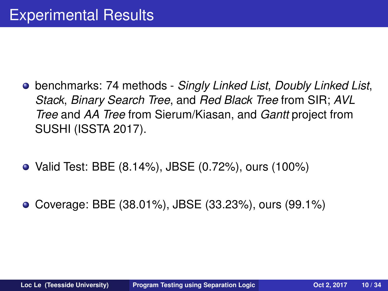- benchmarks: 74 methods *Singly Linked List*, *Doubly Linked List*, *Stack*, *Binary Search Tree*, and *Red Black Tree* from SIR; *AVL Tree* and *AA Tree* from Sierum/Kiasan, and *Gantt* project from SUSHI (ISSTA 2017).
- Valid Test: BBE (8.14%), JBSE (0.72%), ours (100%)
- Coverage: BBE (38.01%), JBSE (33.23%), ours (99.1%)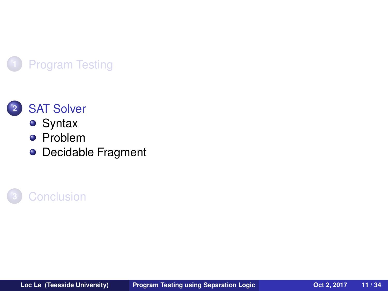



- **•** [Syntax](#page-11-0)
- **•** [Problem](#page-12-0)
- [Decidable Fragment](#page-15-0)



<span id="page-10-0"></span>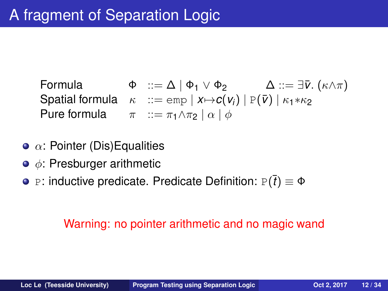Formula  $\Phi$  ::= Δ | Φ<sub>1</sub> ∨ Φ<sub>2</sub>  $\Delta$  ::= ∃ $\bar{v}$ . (κ $\wedge \pi$ ) Spatial formula  $\kappa$  ::= emp  $| x \mapsto c(v_i) | P(\bar{v}) | \kappa_1 * \kappa_2$ Pure formula  $\pi$  ::=  $\pi_1 \wedge \pi_2 | \alpha | \phi$ 

- $\bullet$   $\alpha$ : Pointer (Dis) Equalities
- $\bullet \phi$ : Presburger arithmetic
- **•** P: inductive predicate. Predicate Definition:  $P(\bar{t}) \equiv \Phi$

#### <span id="page-11-0"></span>Warning: no pointer arithmetic and no magic wand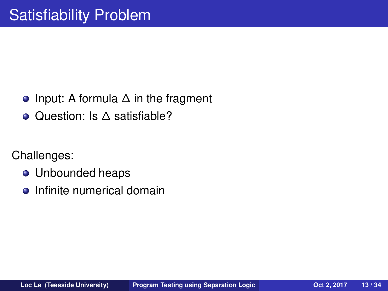- Input: A formula ∆ in the fragment
- Question: Is ∆ satisfiable?

Challenges:

- **•** Unbounded heaps
- <span id="page-12-0"></span>Infinite numerical domain  $\bullet$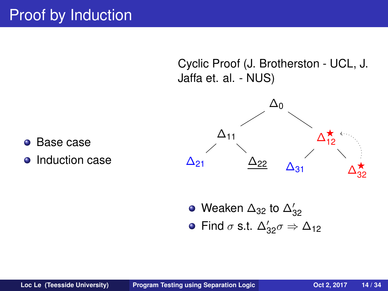Cyclic Proof (J. Brotherston - UCL, J. Jaffa et. al. - NUS)



Weaken  $\Delta_{32}$  to  $\Delta'_{32}$ Find  $\sigma$  s.t.  $\Delta'_{32}\sigma \Rightarrow \Delta_{12}$ 

- Base case  $\bullet$
- Induction case  $\bullet$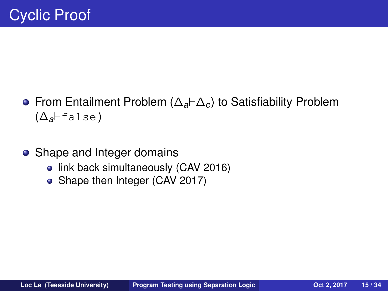- From Entailment Problem (∆*a*⊢∆*c*) to Satisfiability Problem (∆*a*⊢false)
- Shape and Integer domains
	- link back simultaneously (CAV 2016)
	- Shape then Integer (CAV 2017)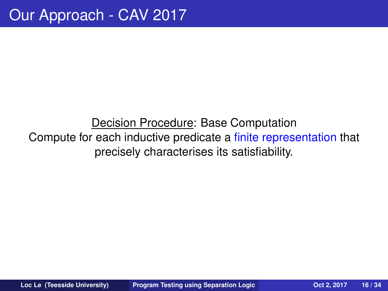#### <span id="page-15-0"></span>Decision Procedure: Base Computation Compute for each inductive predicate a finite representation that precisely characterises its satisfiability.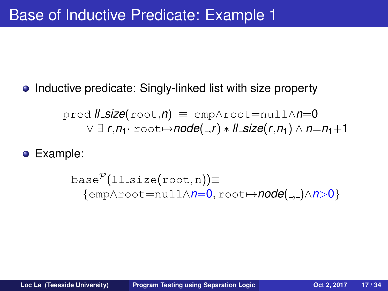Inductive predicate: Singly-linked list with size property  $\bullet$ 

$$
\text{pred } \textit{ll\_size}(\text{root}, n) \equiv \text{emp} \land \text{root} = \text{null} \land n = 0
$$
\n
$$
\lor \exists r, n_1 \cdot \text{root} \mapsto \text{node}(\_,r) * \textit{ll\_size}(r, n_1) \land n = n_1 + 1
$$

Example:

$$
\text{base}^{\mathcal{P}}(11\text{-size(root}, n)) \equiv \{ \text{emp\landroot = null \land n=0, root \mapsto node(., .) \land n>0} \}
$$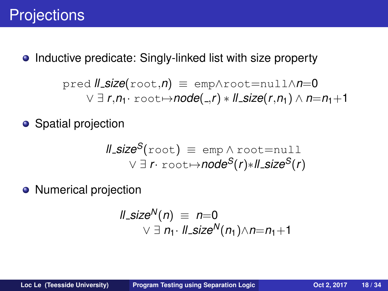Inductive predicate: Singly-linked list with size property  $\bullet$ 

$$
\text{pred } \textit{ll\_size}(\text{root}, n) \equiv \text{emp} \land \text{root} = \text{null} \land n = 0
$$
\n
$$
\lor \exists r, n_1 \cdot \text{root} \mapsto \text{node}(\_,r) * \textit{ll\_size}(r, n_1) \land n = n_1 + 1
$$

• Spatial projection

$$
\begin{array}{rcl}\n\text{ll.size}^S(\text{root}) & \equiv & \text{emp} \land \text{root} = \text{null} \\
& \lor \exists \ r \cdot \text{root} \mapsto \text{node}^S(r) * \text{ll.size}^S(r)\n\end{array}
$$

• Numerical projection

$$
\begin{array}{rcl}\n\text{ll\_size}^N(n) & \equiv & n = 0 \\
\text{N} & \exists \; n_1 \cdot \text{ll\_size}^N(n_1) \wedge n = n_1 + 1\n\end{array}
$$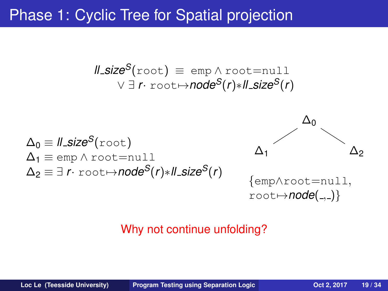Phase 1: Cyclic Tree for Spatial projection

$$
\begin{array}{rcl}\n\text{ll.size}^S(\text{root}) & \equiv & \text{emp} \land \text{root} = \text{null} \\
& \lor \exists \ r \cdot \text{root} \mapsto \text{node}^S(r) * \text{ll.size}^S(r)\n\end{array}
$$

$$
\Delta_0 \equiv \text{II\_size}^S(\text{root})
$$
\n
$$
\Delta_1 \equiv \text{emp} \land \text{root} = \text{null}
$$
\n
$$
\Delta_2 \equiv \exists \ r \cdot \text{root} \mapsto \text{node}^S(r) * \text{II\_size}^S(r)
$$



#### Why not continue unfolding?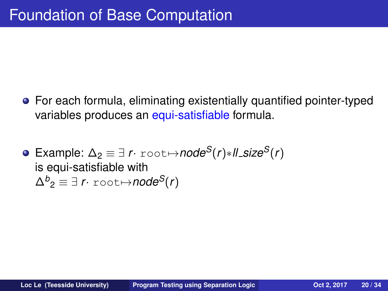- For each formula, eliminating existentially quantified pointer-typed variables produces an equi-satisfiable formula.
- $\bullet$  Example:  $\Delta$ <sub>2</sub>  $\equiv$   $\exists$  *r*⋅ root $\leftrightarrow$ *node*<sup>*S*</sup>(*r*)∗*ll\_size<sup><i>S*</sup>(*r*) is equi-satisfiable with  $\Delta^{b}{}_{2} \equiv \exists \; r \cdot \texttt{root} {\mapsto} \textit{node}^{\textit{S}}(r)$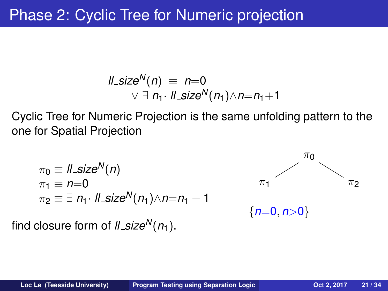# Phase 2: Cyclic Tree for Numeric projection

$$
\begin{array}{rcl}\n\text{ll\_size}^N(n) & \equiv & n=0 \\
\text{N} & \exists \; n_1 \cdot \text{ll\_size}^N(n_1) \wedge n = n_1 + 1\n\end{array}
$$

Cyclic Tree for Numeric Projection is the same unfolding pattern to the one for Spatial Projection

$$
\begin{array}{l}\n\pi_0 \equiv \mathit{ll\_size}^N(n) \\
\pi_1 \equiv n=0 \\
\pi_2 \equiv \exists \; n_1 \cdot \mathit{ll\_size}^N(n_1) \wedge n=n_1+1\n\end{array}
$$

find closure form of  $ll$ *size*<sup>*N*</sup>( $n_1$ ).

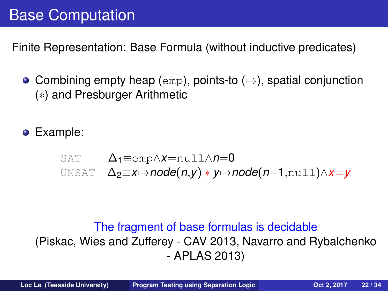# Base Computation

Finite Representation: Base Formula (without inductive predicates)

• Combining empty heap (emp), points-to  $(\rightarrow)$ , spatial conjunction (∗) and Presburger Arithmetic

Example:

SAT 
$$
\Delta_1 \equiv \text{emp} \land x = \text{null} \land n = 0
$$

UNSAT ∆2≡*x*7→*node*(*n*,*y*) ∗ *y*7→*node*(*n*−1,null)∧*x*=*y*

#### The fragment of base formulas is decidable (Piskac, Wies and Zufferey - CAV 2013, Navarro and Rybalchenko - APLAS 2013)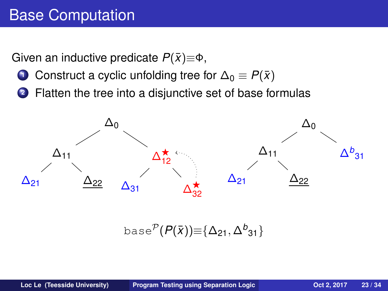# Base Computation

Given an inductive predicate  $P(\bar{x})\equiv\Phi$ ,

- **1** Construct a cyclic unfolding tree for  $\Delta_0 \equiv P(\bar{x})$
- **<sup>2</sup>** Flatten the tree into a disjunctive set of base formulas



base $^{\mathcal{P}}(P(\bar{x}))\hspace{-0.1cm}\equiv\hspace{-0.1cm}\{\Delta_{21},\Delta^b_{31}\}$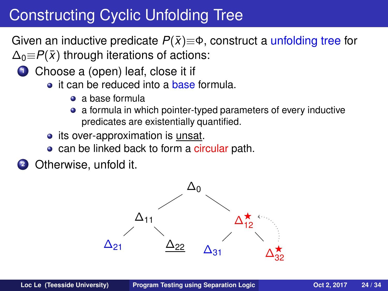# Constructing Cyclic Unfolding Tree

Given an inductive predicate  $P(\bar{x}) \equiv \Phi$ , construct a unfolding tree for  $\Delta_0 \equiv P(\bar{x})$  through iterations of actions:

- **1** Choose a (open) leaf, close it if
	- **a** it can be reduced into a **base formula**.
		- a base formula
		- a formula in which pointer-typed parameters of every inductive predicates are existentially quantified.
	- its over-approximation is unsat.
	- can be linked back to form a circular path.
- **<sup>2</sup>** Otherwise, unfold it.

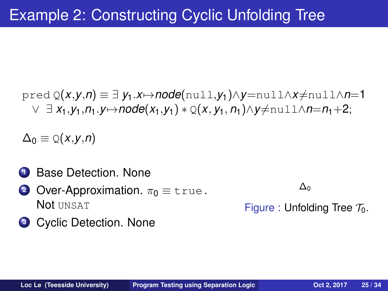$\text{pred } Q(x,y,n) \equiv \exists y_1.x \mapsto node(n \text{ul}, y_1) \wedge y = null \wedge x \neq null \wedge n = 1$  $∨ ∃ X<sub>1</sub>, Y<sub>1</sub>, n<sub>1</sub>.Y\mapsto node(X<sub>1</sub>, Y<sub>1</sub>) * Q(X, Y<sub>1</sub>, n<sub>1</sub>) ∧ Y \neq null ∧ n = n<sub>1</sub> + 2;$ 

 $\Delta_0 \equiv \mathcal{Q}(x,y,n)$ 

- **<sup>1</sup>** Base Detection. None
- **2** Over-Approximation.  $\pi_0 \equiv \text{true}$ . Not UNSAT

∆0

Figure : Unfolding Tree  $\mathcal{T}_0$ .

**<sup>3</sup>** Cyclic Detection. None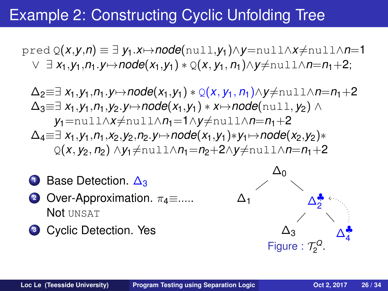### Example 2: Constructing Cyclic Unfolding Tree

 $\text{pred } Q(x,y,n) \equiv \exists y_1.x \mapsto node(\text{null},y_1) \wedge y = \text{null} \wedge x \neq \text{null} \wedge n=1$ ∨ ∃ *x*1,*y*1,*n*1.*y*7→*node*(*x*1,*y*1) ∗ Q(*x*, *y*1, *n*1)∧*y*6=null∧*n*=*n*1+2;

 $\Delta_2 \equiv \exists x_1, y_1, n_1, y \mapsto node(x_1, y_1) * Q(x, y_1, n_1) \wedge y \neq null \wedge n = n_1 + 2$  $\Delta_3 \equiv \exists x_1, y_1, n_1, y_2, y \mapsto \text{node}(x_1, y_1) * x \mapsto \text{node}(\text{null}, y_2) \wedge$ *y*<sup>1</sup>=null∧*x*≠null∧*n*<sup>1</sup>=1∧*y*≠null∧*n*=*n*<sup>1</sup>+2  $\Delta_4 \equiv \exists x_1, y_1, n_1, x_2, y_2, n_2, y \mapsto node(x_1, y_1) * y_1 \mapsto node(x_2, y_2) *$  $Q(x, y_2, n_2) \land y_1 \neq \text{null} \land n_1 = n_2 + 2 \land y \neq \text{null} \land n = n_1 + 2$ 



**<sup>3</sup>** Cyclic Detection. Yes

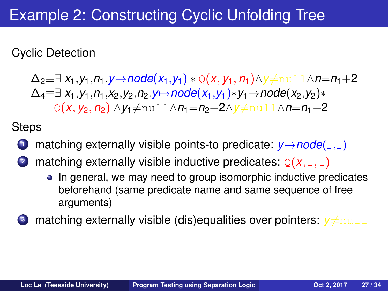# Example 2: Constructing Cyclic Unfolding Tree

Cyclic Detection

 $\Delta_2 \equiv \exists x_1, y_1, n_1. y \mapsto node(x_1, y_1) * Q(x, y_1, n_1) \wedge y \neq null \wedge n = n_1 + 2$  $\Delta_4 \equiv \exists x_1, y_1, n_1, x_2, y_2, n_2, y \mapsto node(x_1, y_1) * y_1 \mapsto node(x_2, y_2) *$ Q(*x*, *y*<sub>2</sub>, *n*<sub>2</sub>) ∧*y*<sub>1</sub>≠null∧*n*<sub>1</sub>=*n*<sub>2</sub>+2∧*y*≠null∧*n*=*n*<sub>1</sub>+2

**Steps** 

- **1** matching externally visible points-to predicate:  $y \mapsto node(\_ \cdot \_ )$
- **2** matching externally visible inductive predicates:  $Q(X, 2, 2)$ 
	- In general, we may need to group isomorphic inductive predicates beforehand (same predicate name and same sequence of free arguments)
- **3** matching externally visible (dis)equalities over pointers:  $y \neq \text{null}$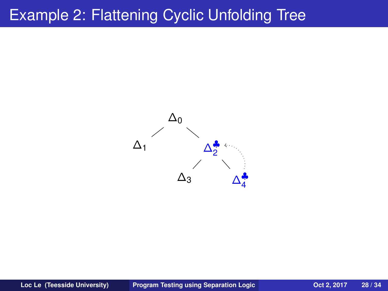#### Example 2: Flattening Cyclic Unfolding Tree

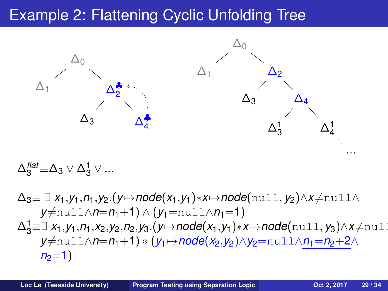# Example 2: Flattening Cyclic Unfolding Tree



$$
\Delta_3^\text{flat} \equiv \Delta_3 \vee \Delta_3^1 \vee \dots
$$

$$
\Delta_3 \equiv \exists x_1, y_1, n_1, y_2. (y \mapsto node(x_1, y_1) * x \mapsto node(n \text{ul1}, y_2) \land x \neq \text{null} \land y \neq \text{null} \land n = n_1 + 1) \land (y_1 = \text{null} \land n_1 = 1)
$$
\n
$$
\Delta_3^1 \equiv \exists x_1, y_1, n_1, x_2, y_2, n_2, y_3. (y \mapsto node(x_1, y_1) * x \mapsto node(\text{null}, y_3) \land x \neq \text{null} \land y \neq \text{null} \land n = n_1 + 1) * (y_1 \mapsto node(x_2, y_2) \land y_2 = \text{null} \land \underline{n_1 = n_2 + 2} \land n_2 = 1)
$$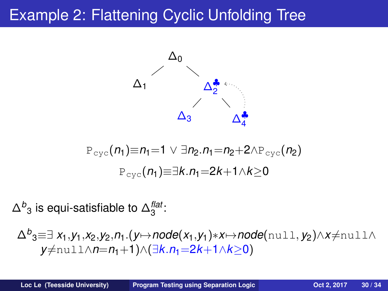# Example 2: Flattening Cyclic Unfolding Tree



$$
\mathbb{P}_{\text{cyc}}(n_1) \equiv n_1 = 1 \lor \exists n_2 . n_1 = n_2 + 2 \land \mathbb{P}_{\text{cyc}}(n_2)
$$

$$
\mathbb{P}_{\text{cyc}}(n_1) \equiv \exists k . n_1 = 2k + 1 \land k \ge 0
$$

 $\Delta^b{}_3$  is equi-satisfiable to  $\Delta_3^\text{flat}$ :

$$
\Delta^{b} 3 \equiv \exists x_1, y_1, x_2, y_2, n_1.(y \mapsto node(x_1, y_1) * x \mapsto node(\text{null}, y_2) \land x \neq \text{null} \land y \neq \text{null} \land n = n_1 + 1) \land (\exists k. n_1 = 2k + 1 \land k \geq 0)
$$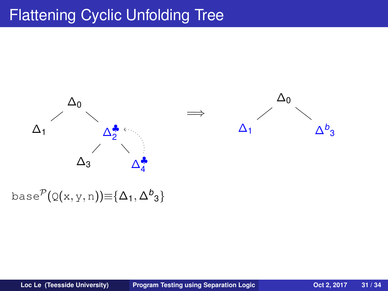# Flattening Cyclic Unfolding Tree



base $^{\mathcal{P}}(\operatorname{\mathsf{Q}}(\mathsf{x},\mathsf{y},\mathsf{n}))\hspace{-1mm}\equiv\hspace{-1mm}\{\Delta_1,\Delta^{\textit{b}}_3\}$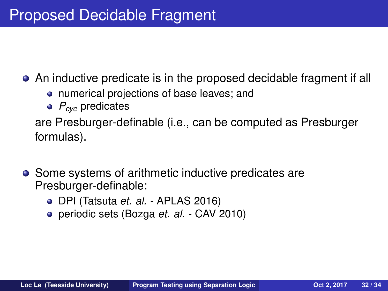An inductive predicate is in the proposed decidable fragment if all

- numerical projections of base leaves; and
- *Pcyc* predicates

are Presburger-definable (i.e., can be computed as Presburger formulas).

- Some systems of arithmetic inductive predicates are Presburger-definable:
	- DPI (Tatsuta *et. al.* APLAS 2016)
	- periodic sets (Bozga *et. al.* CAV 2010)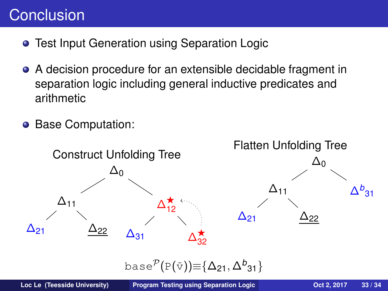# **Conclusion**

- **Test Input Generation using Separation Logic**
- A decision procedure for an extensible decidable fragment in  $\bullet$ separation logic including general inductive predicates and arithmetic
- $\bullet$ Base Computation:

<span id="page-32-0"></span>